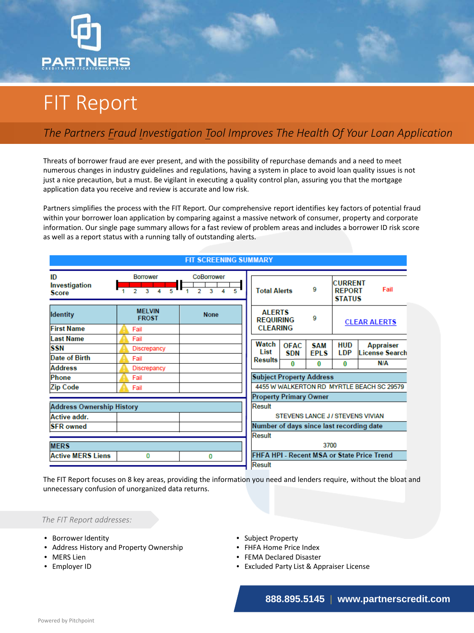

## FIT Report

## *The Partners Fraud Investigation Tool Improves The Health Of Your Loan Application*

Threats of borrower fraud are ever present, and with the possibility of repurchase demands and a need to meet numerous changes in industry guidelines and regulations, having a system in place to avoid loan quality issues is not just a nice precaution, but a must. Be vigilant in executing a quality control plan, assuring you that the mortgage application data you receive and review is accurate and low risk.

Partners simplifies the process with the FIT Report. Our comprehensive report identifies key factors of potential fraud within your borrower loan application by comparing against a massive network of consumer, property and corporate information. Our single page summary allows for a fast review of problem areas and includes a borrower ID risk score as well as a report status with a running tally of outstanding alerts.

| <b>FIT SCREENING SUMMARY</b>        |                                                                                     |                                        |                                            |                                           |              |                           |                                                          |                                           |  |  |
|-------------------------------------|-------------------------------------------------------------------------------------|----------------------------------------|--------------------------------------------|-------------------------------------------|--------------|---------------------------|----------------------------------------------------------|-------------------------------------------|--|--|
| ID<br>Investigation<br><b>Score</b> | <b>Borrower</b><br>$\begin{array}{c c c c c} \hline \mathbf{3} & 4 & 5 \end{array}$ | CoBorrower<br>$\overline{2}$<br>R<br>τ |                                            | 9<br><b>Total Alerts</b>                  |              |                           | <b>CURRENT</b><br>Fail<br><b>REPORT</b><br><b>STATUS</b> |                                           |  |  |
| <b>Identity</b>                     | <b>MELVIN</b><br><b>FROST</b>                                                       | <b>None</b>                            |                                            | <b>AI FRTS</b><br><b>REQUIRING</b>        |              | 9                         | <b>CLEAR ALERTS</b>                                      |                                           |  |  |
| <b>First Name</b>                   | Fail                                                                                |                                        |                                            | <b>CLEARING</b>                           |              |                           |                                                          |                                           |  |  |
| <b>Last Name</b>                    | Fail                                                                                |                                        |                                            | Watch                                     |              |                           |                                                          |                                           |  |  |
| <b>SSN</b>                          | <b>Discrepancy</b>                                                                  |                                        |                                            | List                                      | OFAC.<br>SDN | <b>SAM</b><br><b>EPLS</b> | <b>HUD</b><br><b>LDP</b>                                 | <b>Appraiser</b><br><b>License Search</b> |  |  |
| Date of Birth                       | Fail                                                                                |                                        |                                            | <b>Results</b>                            | $\bf{0}$     | 0                         | $\bf{0}$                                                 | N/A                                       |  |  |
| <b>Address</b>                      | <b>Discrepancy</b>                                                                  |                                        |                                            |                                           |              |                           |                                                          |                                           |  |  |
| Phone                               | Fail                                                                                |                                        |                                            | <b>Subject Property Address</b>           |              |                           |                                                          |                                           |  |  |
| <b>Zip Code</b>                     | Fail                                                                                |                                        |                                            | 4455 W WALKERTON RD MYRTLE BEACH SC 29579 |              |                           |                                                          |                                           |  |  |
|                                     |                                                                                     |                                        |                                            | <b>Property Primary Owner</b>             |              |                           |                                                          |                                           |  |  |
| <b>Address Ownership History</b>    |                                                                                     |                                        |                                            | Result                                    |              |                           |                                                          |                                           |  |  |
| <b>Active addr.</b>                 |                                                                                     |                                        |                                            | <b>STEVENS LANCE J/STEVENS VIVIAN</b>     |              |                           |                                                          |                                           |  |  |
| <b>SFR</b> owned                    |                                                                                     |                                        | Number of days since last recording date   |                                           |              |                           |                                                          |                                           |  |  |
|                                     |                                                                                     |                                        |                                            | Result                                    |              |                           |                                                          |                                           |  |  |
| <b>MERS</b>                         |                                                                                     |                                        |                                            | 3700                                      |              |                           |                                                          |                                           |  |  |
| <b>Active MERS Liens</b>            | 0                                                                                   | 0                                      | FHFA HPI - Recent MSA or State Price Trend |                                           |              |                           |                                                          |                                           |  |  |
|                                     |                                                                                     |                                        |                                            | Result                                    |              |                           |                                                          |                                           |  |  |

The FIT Report focuses on 8 key areas, providing the information you need and lenders require, without the bloat and unnecessary confusion of unorganized data returns.

*The FIT Report addresses:*

- Borrower Identity
- Address History and Property Ownership
- MERS Lien
- Employer ID
- Subject Property
- FHFA Home Price Index
- FEMA Declared Disaster
- Excluded Party List & Appraiser License